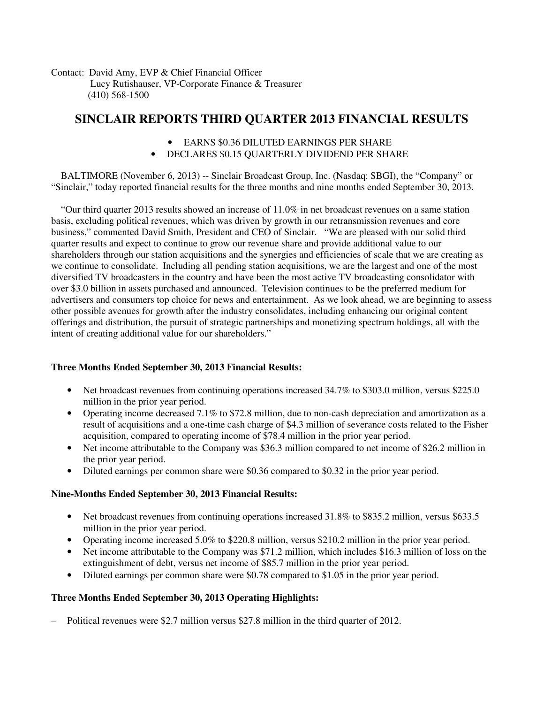Contact: David Amy, EVP & Chief Financial Officer Lucy Rutishauser, VP-Corporate Finance & Treasurer (410) 568-1500

# **SINCLAIR REPORTS THIRD QUARTER 2013 FINANCIAL RESULTS**

- EARNS \$0.36 DILUTED EARNINGS PER SHARE
- DECLARES \$0.15 QUARTERLY DIVIDEND PER SHARE

 BALTIMORE (November 6, 2013) -- Sinclair Broadcast Group, Inc. (Nasdaq: SBGI), the "Company" or "Sinclair," today reported financial results for the three months and nine months ended September 30, 2013.

 "Our third quarter 2013 results showed an increase of 11.0% in net broadcast revenues on a same station basis, excluding political revenues, which was driven by growth in our retransmission revenues and core business," commented David Smith, President and CEO of Sinclair. "We are pleased with our solid third quarter results and expect to continue to grow our revenue share and provide additional value to our shareholders through our station acquisitions and the synergies and efficiencies of scale that we are creating as we continue to consolidate. Including all pending station acquisitions, we are the largest and one of the most diversified TV broadcasters in the country and have been the most active TV broadcasting consolidator with over \$3.0 billion in assets purchased and announced. Television continues to be the preferred medium for advertisers and consumers top choice for news and entertainment. As we look ahead, we are beginning to assess other possible avenues for growth after the industry consolidates, including enhancing our original content offerings and distribution, the pursuit of strategic partnerships and monetizing spectrum holdings, all with the intent of creating additional value for our shareholders."

## **Three Months Ended September 30, 2013 Financial Results:**

- Net broadcast revenues from continuing operations increased 34.7% to \$303.0 million, versus \$225.0 million in the prior year period.
- Operating income decreased 7.1% to \$72.8 million, due to non-cash depreciation and amortization as a result of acquisitions and a one-time cash charge of \$4.3 million of severance costs related to the Fisher acquisition, compared to operating income of \$78.4 million in the prior year period.
- Net income attributable to the Company was \$36.3 million compared to net income of \$26.2 million in the prior year period.
- Diluted earnings per common share were \$0.36 compared to \$0.32 in the prior year period.

## **Nine-Months Ended September 30, 2013 Financial Results:**

- Net broadcast revenues from continuing operations increased 31.8% to \$835.2 million, versus \$633.5 million in the prior year period.
- Operating income increased 5.0% to \$220.8 million, versus \$210.2 million in the prior year period.
- Net income attributable to the Company was \$71.2 million, which includes \$16.3 million of loss on the extinguishment of debt, versus net income of \$85.7 million in the prior year period.
- Diluted earnings per common share were \$0.78 compared to \$1.05 in the prior year period.

## **Three Months Ended September 30, 2013 Operating Highlights:**

− Political revenues were \$2.7 million versus \$27.8 million in the third quarter of 2012.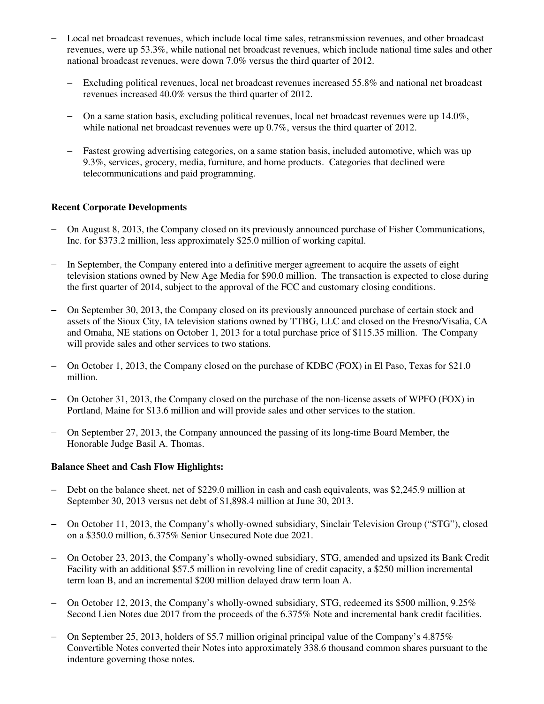- − Local net broadcast revenues, which include local time sales, retransmission revenues, and other broadcast revenues, were up 53.3%, while national net broadcast revenues, which include national time sales and other national broadcast revenues, were down 7.0% versus the third quarter of 2012.
	- − Excluding political revenues, local net broadcast revenues increased 55.8% and national net broadcast revenues increased 40.0% versus the third quarter of 2012.
	- − On a same station basis, excluding political revenues, local net broadcast revenues were up 14.0%, while national net broadcast revenues were up 0.7%, versus the third quarter of 2012.
	- − Fastest growing advertising categories, on a same station basis, included automotive, which was up 9.3%, services, grocery, media, furniture, and home products. Categories that declined were telecommunications and paid programming.

## **Recent Corporate Developments**

- − On August 8, 2013, the Company closed on its previously announced purchase of Fisher Communications, Inc. for \$373.2 million, less approximately \$25.0 million of working capital.
- − In September, the Company entered into a definitive merger agreement to acquire the assets of eight television stations owned by New Age Media for \$90.0 million. The transaction is expected to close during the first quarter of 2014, subject to the approval of the FCC and customary closing conditions.
- On September 30, 2013, the Company closed on its previously announced purchase of certain stock and assets of the Sioux City, IA television stations owned by TTBG, LLC and closed on the Fresno/Visalia, CA and Omaha, NE stations on October 1, 2013 for a total purchase price of \$115.35 million. The Company will provide sales and other services to two stations.
- − On October 1, 2013, the Company closed on the purchase of KDBC (FOX) in El Paso, Texas for \$21.0 million.
- − On October 31, 2013, the Company closed on the purchase of the non-license assets of WPFO (FOX) in Portland, Maine for \$13.6 million and will provide sales and other services to the station.
- − On September 27, 2013, the Company announced the passing of its long-time Board Member, the Honorable Judge Basil A. Thomas.

## **Balance Sheet and Cash Flow Highlights:**

- − Debt on the balance sheet, net of \$229.0 million in cash and cash equivalents, was \$2,245.9 million at September 30, 2013 versus net debt of \$1,898.4 million at June 30, 2013.
- − On October 11, 2013, the Company's wholly-owned subsidiary, Sinclair Television Group ("STG"), closed on a \$350.0 million, 6.375% Senior Unsecured Note due 2021.
- − On October 23, 2013, the Company's wholly-owned subsidiary, STG, amended and upsized its Bank Credit Facility with an additional \$57.5 million in revolving line of credit capacity, a \$250 million incremental term loan B, and an incremental \$200 million delayed draw term loan A.
- − On October 12, 2013, the Company's wholly-owned subsidiary, STG, redeemed its \$500 million, 9.25% Second Lien Notes due 2017 from the proceeds of the 6.375% Note and incremental bank credit facilities.
- − On September 25, 2013, holders of \$5.7 million original principal value of the Company's 4.875% Convertible Notes converted their Notes into approximately 338.6 thousand common shares pursuant to the indenture governing those notes.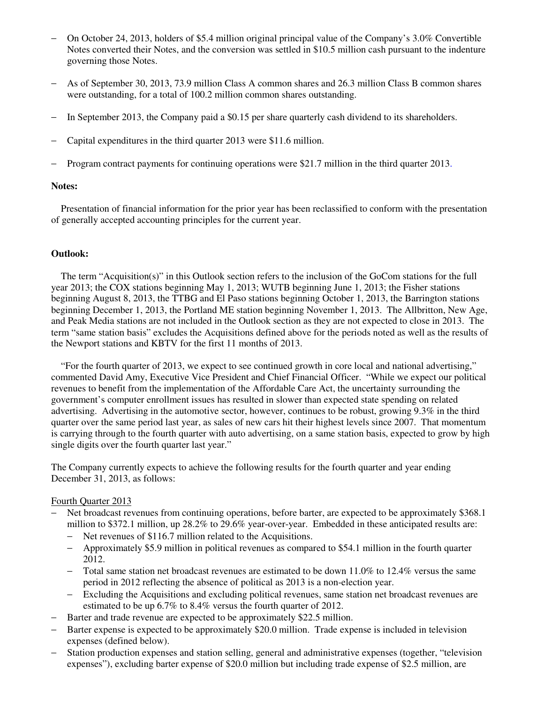- − On October 24, 2013, holders of \$5.4 million original principal value of the Company's 3.0% Convertible Notes converted their Notes, and the conversion was settled in \$10.5 million cash pursuant to the indenture governing those Notes.
- − As of September 30, 2013, 73.9 million Class A common shares and 26.3 million Class B common shares were outstanding, for a total of 100.2 million common shares outstanding.
- − In September 2013, the Company paid a \$0.15 per share quarterly cash dividend to its shareholders.
- − Capital expenditures in the third quarter 2013 were \$11.6 million.
- − Program contract payments for continuing operations were \$21.7 million in the third quarter 2013.

## **Notes:**

 Presentation of financial information for the prior year has been reclassified to conform with the presentation of generally accepted accounting principles for the current year.

## **Outlook:**

 The term "Acquisition(s)" in this Outlook section refers to the inclusion of the GoCom stations for the full year 2013; the COX stations beginning May 1, 2013; WUTB beginning June 1, 2013; the Fisher stations beginning August 8, 2013, the TTBG and El Paso stations beginning October 1, 2013, the Barrington stations beginning December 1, 2013, the Portland ME station beginning November 1, 2013. The Allbritton, New Age, and Peak Media stations are not included in the Outlook section as they are not expected to close in 2013. The term "same station basis" excludes the Acquisitions defined above for the periods noted as well as the results of the Newport stations and KBTV for the first 11 months of 2013.

 "For the fourth quarter of 2013, we expect to see continued growth in core local and national advertising," commented David Amy, Executive Vice President and Chief Financial Officer. "While we expect our political revenues to benefit from the implementation of the Affordable Care Act, the uncertainty surrounding the government's computer enrollment issues has resulted in slower than expected state spending on related advertising. Advertising in the automotive sector, however, continues to be robust, growing 9.3% in the third quarter over the same period last year, as sales of new cars hit their highest levels since 2007. That momentum is carrying through to the fourth quarter with auto advertising, on a same station basis, expected to grow by high single digits over the fourth quarter last year."

The Company currently expects to achieve the following results for the fourth quarter and year ending December 31, 2013, as follows:

## Fourth Quarter 2013

- − Net broadcast revenues from continuing operations, before barter, are expected to be approximately \$368.1 million to \$372.1 million, up 28.2% to 29.6% year-over-year. Embedded in these anticipated results are:
	- − Net revenues of \$116.7 million related to the Acquisitions.
	- − Approximately \$5.9 million in political revenues as compared to \$54.1 million in the fourth quarter 2012.
	- − Total same station net broadcast revenues are estimated to be down 11.0% to 12.4% versus the same period in 2012 reflecting the absence of political as 2013 is a non-election year.
	- − Excluding the Acquisitions and excluding political revenues, same station net broadcast revenues are estimated to be up 6.7% to 8.4% versus the fourth quarter of 2012.
- − Barter and trade revenue are expected to be approximately \$22.5 million.
- − Barter expense is expected to be approximately \$20.0 million. Trade expense is included in television expenses (defined below).
- − Station production expenses and station selling, general and administrative expenses (together, "television expenses"), excluding barter expense of \$20.0 million but including trade expense of \$2.5 million, are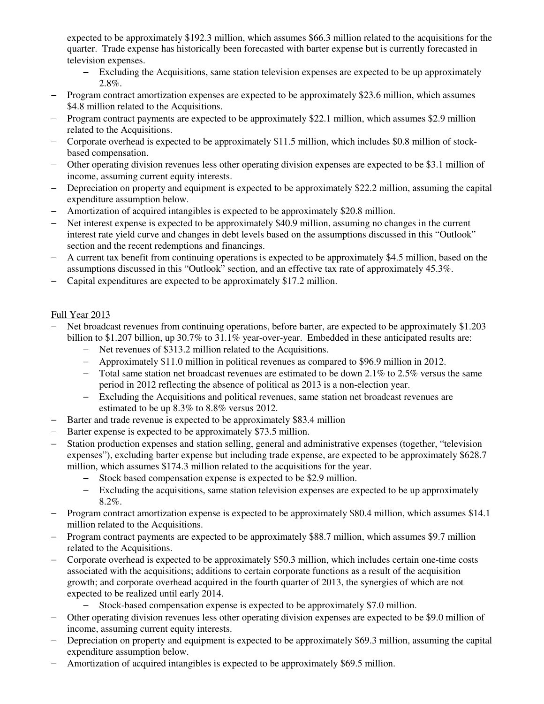expected to be approximately \$192.3 million, which assumes \$66.3 million related to the acquisitions for the quarter. Trade expense has historically been forecasted with barter expense but is currently forecasted in television expenses.

- − Excluding the Acquisitions, same station television expenses are expected to be up approximately 2.8%.
- − Program contract amortization expenses are expected to be approximately \$23.6 million, which assumes \$4.8 million related to the Acquisitions.
- − Program contract payments are expected to be approximately \$22.1 million, which assumes \$2.9 million related to the Acquisitions.
- − Corporate overhead is expected to be approximately \$11.5 million, which includes \$0.8 million of stockbased compensation.
- − Other operating division revenues less other operating division expenses are expected to be \$3.1 million of income, assuming current equity interests.
- − Depreciation on property and equipment is expected to be approximately \$22.2 million, assuming the capital expenditure assumption below.
- − Amortization of acquired intangibles is expected to be approximately \$20.8 million.
- − Net interest expense is expected to be approximately \$40.9 million, assuming no changes in the current interest rate yield curve and changes in debt levels based on the assumptions discussed in this "Outlook" section and the recent redemptions and financings.
- − A current tax benefit from continuing operations is expected to be approximately \$4.5 million, based on the assumptions discussed in this "Outlook" section, and an effective tax rate of approximately 45.3%.
- − Capital expenditures are expected to be approximately \$17.2 million.

# Full Year 2013

- Net broadcast revenues from continuing operations, before barter, are expected to be approximately \$1.203 billion to \$1.207 billion, up 30.7% to 31.1% year-over-year. Embedded in these anticipated results are:
	- − Net revenues of \$313.2 million related to the Acquisitions.
	- − Approximately \$11.0 million in political revenues as compared to \$96.9 million in 2012.
	- − Total same station net broadcast revenues are estimated to be down 2.1% to 2.5% versus the same period in 2012 reflecting the absence of political as 2013 is a non-election year.
	- − Excluding the Acquisitions and political revenues, same station net broadcast revenues are estimated to be up 8.3% to 8.8% versus 2012.
- − Barter and trade revenue is expected to be approximately \$83.4 million
- − Barter expense is expected to be approximately \$73.5 million.
- − Station production expenses and station selling, general and administrative expenses (together, "television expenses"), excluding barter expense but including trade expense, are expected to be approximately \$628.7 million, which assumes \$174.3 million related to the acquisitions for the year.
	- − Stock based compensation expense is expected to be \$2.9 million.
	- − Excluding the acquisitions, same station television expenses are expected to be up approximately 8.2%.
- − Program contract amortization expense is expected to be approximately \$80.4 million, which assumes \$14.1 million related to the Acquisitions.
- − Program contract payments are expected to be approximately \$88.7 million, which assumes \$9.7 million related to the Acquisitions.
- − Corporate overhead is expected to be approximately \$50.3 million, which includes certain one-time costs associated with the acquisitions; additions to certain corporate functions as a result of the acquisition growth; and corporate overhead acquired in the fourth quarter of 2013, the synergies of which are not expected to be realized until early 2014.
	- − Stock-based compensation expense is expected to be approximately \$7.0 million.
- − Other operating division revenues less other operating division expenses are expected to be \$9.0 million of income, assuming current equity interests.
- − Depreciation on property and equipment is expected to be approximately \$69.3 million, assuming the capital expenditure assumption below.
- − Amortization of acquired intangibles is expected to be approximately \$69.5 million.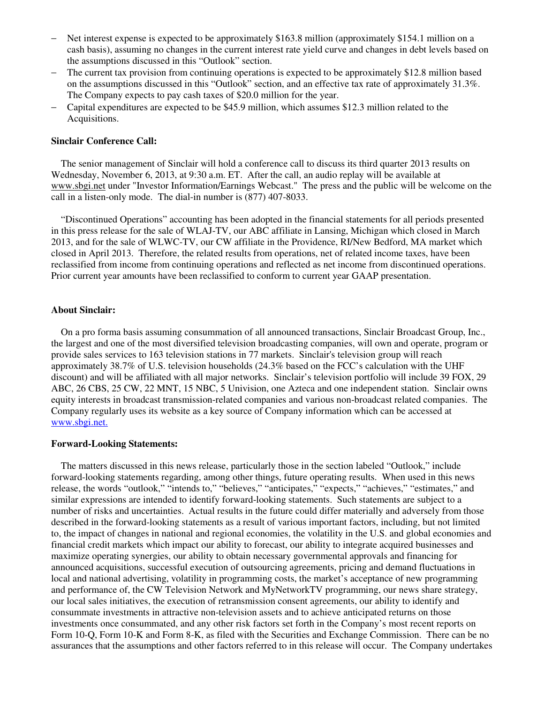- − Net interest expense is expected to be approximately \$163.8 million (approximately \$154.1 million on a cash basis), assuming no changes in the current interest rate yield curve and changes in debt levels based on the assumptions discussed in this "Outlook" section.
- − The current tax provision from continuing operations is expected to be approximately \$12.8 million based on the assumptions discussed in this "Outlook" section, and an effective tax rate of approximately 31.3%. The Company expects to pay cash taxes of \$20.0 million for the year.
- − Capital expenditures are expected to be \$45.9 million, which assumes \$12.3 million related to the Acquisitions.

#### **Sinclair Conference Call:**

 The senior management of Sinclair will hold a conference call to discuss its third quarter 2013 results on Wednesday, November 6, 2013, at 9:30 a.m. ET. After the call, an audio replay will be available at www.sbgi.net under "Investor Information/Earnings Webcast." The press and the public will be welcome on the call in a listen-only mode. The dial-in number is (877) 407-8033.

 "Discontinued Operations" accounting has been adopted in the financial statements for all periods presented in this press release for the sale of WLAJ-TV, our ABC affiliate in Lansing, Michigan which closed in March 2013, and for the sale of WLWC-TV, our CW affiliate in the Providence, RI/New Bedford, MA market which closed in April 2013. Therefore, the related results from operations, net of related income taxes, have been reclassified from income from continuing operations and reflected as net income from discontinued operations. Prior current year amounts have been reclassified to conform to current year GAAP presentation.

#### **About Sinclair:**

 On a pro forma basis assuming consummation of all announced transactions, Sinclair Broadcast Group, Inc., the largest and one of the most diversified television broadcasting companies, will own and operate, program or provide sales services to 163 television stations in 77 markets. Sinclair's television group will reach approximately 38.7% of U.S. television households (24.3% based on the FCC's calculation with the UHF discount) and will be affiliated with all major networks. Sinclair's television portfolio will include 39 FOX, 29 ABC, 26 CBS, 25 CW, 22 MNT, 15 NBC, 5 Univision, one Azteca and one independent station. Sinclair owns equity interests in broadcast transmission-related companies and various non-broadcast related companies. The Company regularly uses its website as a key source of Company information which can be accessed at www.sbgi.net.

#### **Forward-Looking Statements:**

The matters discussed in this news release, particularly those in the section labeled "Outlook," include forward-looking statements regarding, among other things, future operating results. When used in this news release, the words "outlook," "intends to," "believes," "anticipates," "expects," "achieves," "estimates," and similar expressions are intended to identify forward-looking statements. Such statements are subject to a number of risks and uncertainties. Actual results in the future could differ materially and adversely from those described in the forward-looking statements as a result of various important factors, including, but not limited to, the impact of changes in national and regional economies, the volatility in the U.S. and global economies and financial credit markets which impact our ability to forecast, our ability to integrate acquired businesses and maximize operating synergies, our ability to obtain necessary governmental approvals and financing for announced acquisitions, successful execution of outsourcing agreements, pricing and demand fluctuations in local and national advertising, volatility in programming costs, the market's acceptance of new programming and performance of, the CW Television Network and MyNetworkTV programming, our news share strategy, our local sales initiatives, the execution of retransmission consent agreements, our ability to identify and consummate investments in attractive non-television assets and to achieve anticipated returns on those investments once consummated, and any other risk factors set forth in the Company's most recent reports on Form 10-Q, Form 10-K and Form 8-K, as filed with the Securities and Exchange Commission. There can be no assurances that the assumptions and other factors referred to in this release will occur. The Company undertakes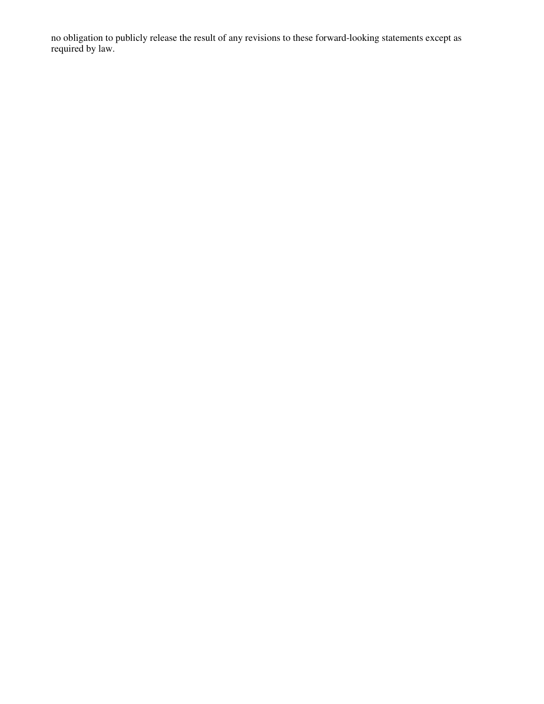no obligation to publicly release the result of any revisions to these forward-looking statements except as required by law.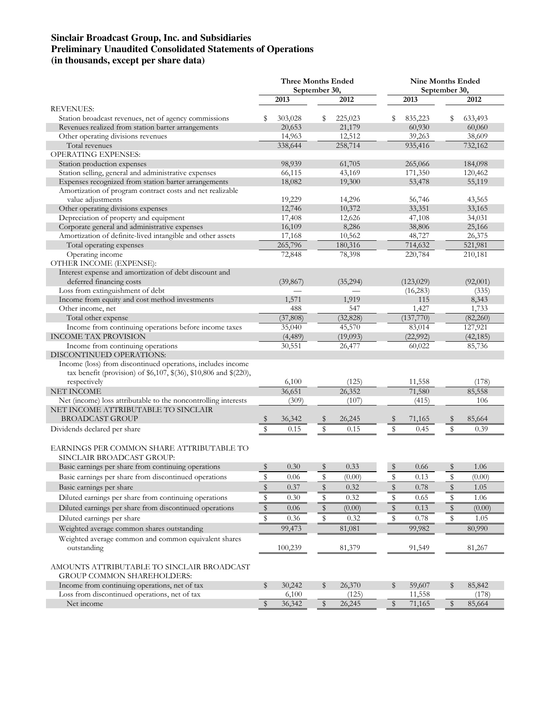## **Sinclair Broadcast Group, Inc. and Subsidiaries Preliminary Unaudited Consolidated Statements of Operations (in thousands, except per share data)**

|                                                                                    | <b>Three Months Ended</b><br>September 30, |           |    | <b>Nine Months Ended</b><br>September 30, |             |            |             |           |
|------------------------------------------------------------------------------------|--------------------------------------------|-----------|----|-------------------------------------------|-------------|------------|-------------|-----------|
|                                                                                    |                                            | 2013      |    | 2012                                      |             | 2013       |             | 2012      |
| <b>REVENUES:</b>                                                                   |                                            |           |    |                                           |             |            |             |           |
| Station broadcast revenues, net of agency commissions                              | s                                          | 303,028   | s  | 225,023                                   | S           | 835,223    | s           | 633,493   |
| Revenues realized from station barter arrangements                                 |                                            | 20,653    |    | 21,179                                    |             | 60,930     |             | 60,060    |
| Other operating divisions revenues                                                 |                                            | 14,963    |    | 12,512                                    |             | 39,263     |             | 38,609    |
| Total revenues                                                                     |                                            | 338,644   |    | 258,714                                   |             | 935,416    |             | 732,162   |
| <b>OPERATING EXPENSES:</b>                                                         |                                            |           |    |                                           |             |            |             |           |
| Station production expenses                                                        |                                            | 98,939    |    | 61,705                                    |             | 265,066    |             | 184,098   |
| Station selling, general and administrative expenses                               |                                            | 66,115    |    | 43,169                                    |             | 171,350    |             | 120,462   |
| Expenses recognized from station barter arrangements                               |                                            | 18,082    |    | 19,300                                    |             | 53,478     |             | 55,119    |
| Amortization of program contract costs and net realizable                          |                                            |           |    |                                           |             |            |             |           |
| value adjustments                                                                  |                                            | 19,229    |    | 14,296                                    |             | 56,746     |             | 43,565    |
| Other operating divisions expenses                                                 |                                            | 12,746    |    | 10,372                                    |             | 33,351     |             | 33,165    |
| Depreciation of property and equipment                                             |                                            | 17,408    |    | 12,626                                    |             | 47,108     |             | 34,031    |
| Corporate general and administrative expenses                                      |                                            | 16,109    |    | 8,286                                     |             | 38,806     |             | 25,166    |
| Amortization of definite-lived intangible and other assets                         |                                            | 17,168    |    | 10,562                                    |             | 48,727     |             | 26,375    |
| Total operating expenses                                                           |                                            | 265,796   |    | 180,316                                   |             | 714,632    |             | 521,981   |
| Operating income                                                                   |                                            | 72,848    |    | 78,398                                    |             | 220,784    |             | 210,181   |
| OTHER INCOME (EXPENSE):                                                            |                                            |           |    |                                           |             |            |             |           |
| Interest expense and amortization of debt discount and<br>deferred financing costs |                                            | (39, 867) |    | (35,294)                                  |             | (123, 029) |             | (92,001)  |
| Loss from extinguishment of debt                                                   |                                            |           |    |                                           |             | (16, 283)  |             | (335)     |
| Income from equity and cost method investments                                     |                                            | 1,571     |    | 1,919                                     |             | 115        |             | 8,343     |
| Other income, net                                                                  |                                            | 488       |    | 547                                       |             | 1,427      |             | 1,733     |
| Total other expense                                                                |                                            | (37, 808) |    | (32, 828)                                 |             | (137,770)  |             | (82,260)  |
| Income from continuing operations before income taxes                              |                                            | 35,040    |    | 45,570                                    |             | 83,014     |             | 127,921   |
| <b>INCOME TAX PROVISION</b>                                                        |                                            | (4, 489)  |    | (19,093)                                  |             | (22,992)   |             | (42, 185) |
| Income from continuing operations                                                  |                                            | 30,551    |    | 26,477                                    |             | 60,022     |             | 85,736    |
| DISCONTINUED OPERATIONS:                                                           |                                            |           |    |                                           |             |            |             |           |
| Income (loss) from discontinued operations, includes income                        |                                            |           |    |                                           |             |            |             |           |
| tax benefit (provision) of \$6,107, \$(36), \$10,806 and \$(220),                  |                                            |           |    |                                           |             |            |             |           |
| respectively                                                                       |                                            | 6,100     |    | (125)                                     |             | 11,558     |             | (178)     |
| NET INCOME                                                                         |                                            | 36,651    |    | 26,352                                    |             | 71,580     |             | 85,558    |
| Net (income) loss attributable to the noncontrolling interests                     |                                            | (309)     |    | (107)                                     |             | (415)      |             | 106       |
| NET INCOME ATTRIBUTABLE TO SINCLAIR                                                |                                            |           |    |                                           |             |            |             |           |
| <b>BROADCAST GROUP</b>                                                             | S                                          | 36,342    | S  | 26,245                                    | S           | 71,165     | \$          | 85,664    |
| Dividends declared per share                                                       | \$                                         | 0.15      | \$ | 0.15                                      | \$          | 0.45       | $\mathbb S$ | 0.39      |
|                                                                                    |                                            |           |    |                                           |             |            |             |           |
| EARNINGS PER COMMON SHARE ATTRIBUTABLE TO                                          |                                            |           |    |                                           |             |            |             |           |
| SINCLAIR BROADCAST GROUP:                                                          |                                            |           |    |                                           |             |            |             |           |
| Basic earnings per share from continuing operations                                | \$                                         | 0.30      | \$ | 0.33                                      | $\mathbb S$ | 0.66       | \$          | 1.06      |
| Basic earnings per share from discontinued operations                              | \$                                         | $0.06\,$  | \$ | (0.00)                                    | \$          | 0.13       | \$          | (0.00)    |
| Basic earnings per share                                                           | $\mathbb S$                                | 0.37      | \$ | 0.32                                      | $\mathbb S$ | 0.78       | \$          | 1.05      |
| Diluted earnings per share from continuing operations                              | \$                                         | 0.30      | \$ | 0.32                                      | \$          | 0.65       | \$          | 1.06      |
|                                                                                    |                                            |           |    |                                           |             |            | $\mathbb S$ |           |
| Diluted earnings per share from discontinued operations                            | $\mathbb S$                                | 0.06      | \$ | (0.00)                                    | $\,$        | 0.13       |             | (0.00)    |
| Diluted earnings per share                                                         | \$                                         | 0.36      | \$ | 0.32                                      | \$          | 0.78       | \$          | 1.05      |
| Weighted average common shares outstanding                                         |                                            | 99,473    |    | 81,081                                    |             | 99,982     |             | 80,990    |
| Weighted average common and common equivalent shares                               |                                            |           |    |                                           |             |            |             |           |
| outstanding                                                                        |                                            | 100,239   |    | 81,379                                    |             | 91,549     |             | 81,267    |
|                                                                                    |                                            |           |    |                                           |             |            |             |           |
| AMOUNTS ATTRIBUTABLE TO SINCLAIR BROADCAST                                         |                                            |           |    |                                           |             |            |             |           |
| <b>GROUP COMMON SHAREHOLDERS:</b>                                                  |                                            |           |    |                                           |             |            |             |           |
| Income from continuing operations, net of tax                                      | \$                                         | 30,242    | \$ | 26,370                                    | \$          | 59,607     | \$          | 85,842    |
| Loss from discontinued operations, net of tax                                      |                                            | 6,100     |    | (125)                                     |             | 11,558     |             | (178)     |
| Net income                                                                         | $\sqrt{3}$                                 | 36,342    | \$ | 26,245                                    | \$          | 71,165     | \$          | 85,664    |